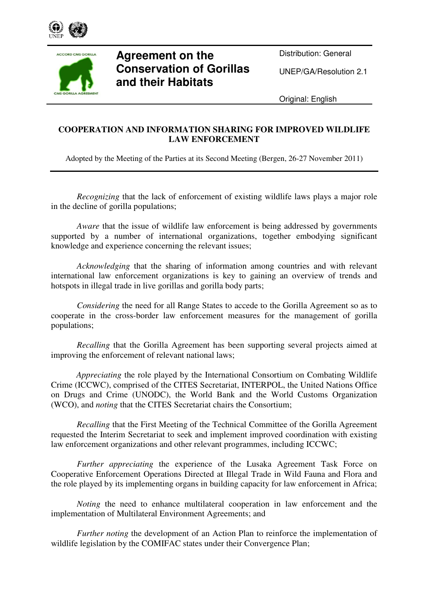



## **Agreement on the Conservation of Gorillas and their Habitats**

Distribution: General

UNEP/GA/Resolution 2.1

Original: English

## **COOPERATION AND INFORMATION SHARING FOR IMPROVED WILDLIFE LAW ENFORCEMENT**

Adopted by the Meeting of the Parties at its Second Meeting (Bergen, 26-27 November 2011)

*Recognizing* that the lack of enforcement of existing wildlife laws plays a major role in the decline of gorilla populations;

*Aware* that the issue of wildlife law enforcement is being addressed by governments supported by a number of international organizations, together embodying significant knowledge and experience concerning the relevant issues;

*Acknowledging* that the sharing of information among countries and with relevant international law enforcement organizations is key to gaining an overview of trends and hotspots in illegal trade in live gorillas and gorilla body parts;

*Considering* the need for all Range States to accede to the Gorilla Agreement so as to cooperate in the cross-border law enforcement measures for the management of gorilla populations;

*Recalling* that the Gorilla Agreement has been supporting several projects aimed at improving the enforcement of relevant national laws;

*Appreciating* the role played by the International Consortium on Combating Wildlife Crime (ICCWC), comprised of the CITES Secretariat, INTERPOL, the United Nations Office on Drugs and Crime (UNODC), the World Bank and the World Customs Organization (WCO), and *noting* that the CITES Secretariat chairs the Consortium;

*Recalling* that the First Meeting of the Technical Committee of the Gorilla Agreement requested the Interim Secretariat to seek and implement improved coordination with existing law enforcement organizations and other relevant programmes, including ICCWC;

*Further appreciating* the experience of the Lusaka Agreement Task Force on Cooperative Enforcement Operations Directed at Illegal Trade in Wild Fauna and Flora and the role played by its implementing organs in building capacity for law enforcement in Africa;

*Noting* the need to enhance multilateral cooperation in law enforcement and the implementation of Multilateral Environment Agreements; and

*Further noting* the development of an Action Plan to reinforce the implementation of wildlife legislation by the COMIFAC states under their Convergence Plan;